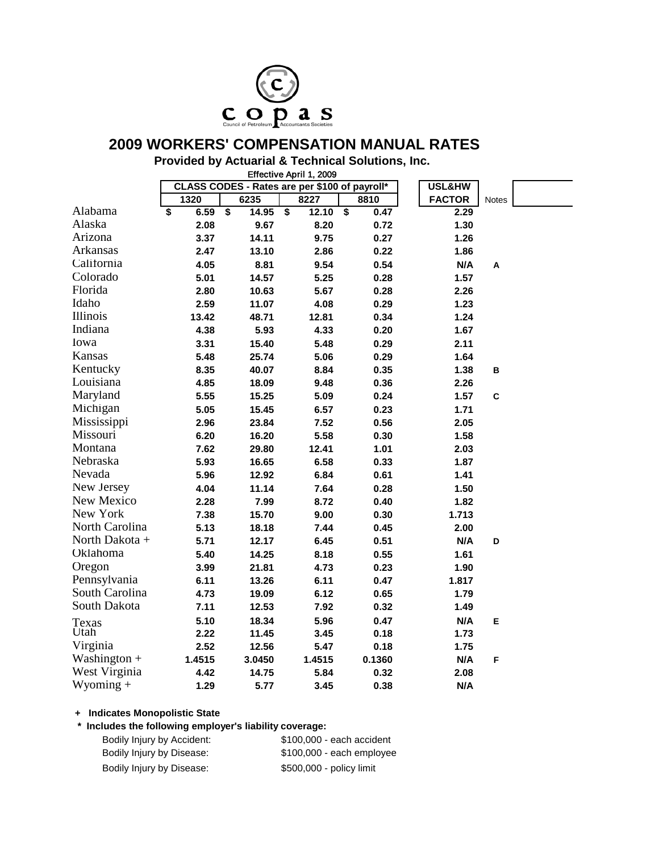

# **2009 WORKERS' COMPENSATION MANUAL RATES**

## **Provided by Actuarial & Technical Solutions, Inc.**

Effective April 1, 2009

|                | CLASS CODES - Rates are per \$100 of payroll* |                                               |                                               |                                              | USL&HW        |              |  |
|----------------|-----------------------------------------------|-----------------------------------------------|-----------------------------------------------|----------------------------------------------|---------------|--------------|--|
|                | 1320                                          | 6235                                          | 8227                                          | 8810                                         | <b>FACTOR</b> | <b>Notes</b> |  |
| Alabama        | \$<br>6.59                                    | $\overline{\boldsymbol{\mathsf{s}}}$<br>14.95 | $\overline{\boldsymbol{\mathsf{s}}}$<br>12.10 | $\overline{\boldsymbol{\mathsf{s}}}$<br>0.47 | 2.29          |              |  |
| Alaska         | 2.08                                          | 9.67                                          | 8.20                                          | 0.72                                         | 1.30          |              |  |
| Arizona        | 3.37                                          | 14.11                                         | 9.75                                          | 0.27                                         | 1.26          |              |  |
| Arkansas       | 2.47                                          | 13.10                                         | 2.86                                          | 0.22                                         | 1.86          |              |  |
| California     | 4.05                                          | 8.81                                          | 9.54                                          | 0.54                                         | N/A           | A            |  |
| Colorado       | 5.01                                          | 14.57                                         | 5.25                                          | 0.28                                         | 1.57          |              |  |
| Florida        | 2.80                                          | 10.63                                         | 5.67                                          | 0.28                                         | 2.26          |              |  |
| Idaho          | 2.59                                          | 11.07                                         | 4.08                                          | 0.29                                         | 1.23          |              |  |
| Illinois       | 13.42                                         | 48.71                                         | 12.81                                         | 0.34                                         | 1.24          |              |  |
| Indiana        | 4.38                                          | 5.93                                          | 4.33                                          | 0.20                                         | 1.67          |              |  |
| Iowa           | 3.31                                          | 15.40                                         | 5.48                                          | 0.29                                         | 2.11          |              |  |
| Kansas         | 5.48                                          | 25.74                                         | 5.06                                          | 0.29                                         | 1.64          |              |  |
| Kentucky       | 8.35                                          | 40.07                                         | 8.84                                          | 0.35                                         | 1.38          | в            |  |
| Louisiana      | 4.85                                          | 18.09                                         | 9.48                                          | 0.36                                         | 2.26          |              |  |
| Maryland       | 5.55                                          | 15.25                                         | 5.09                                          | 0.24                                         | 1.57          | $\mathbf{C}$ |  |
| Michigan       | 5.05                                          | 15.45                                         | 6.57                                          | 0.23                                         | 1.71          |              |  |
| Mississippi    | 2.96                                          | 23.84                                         | 7.52                                          | 0.56                                         | 2.05          |              |  |
| Missouri       | 6.20                                          | 16.20                                         | 5.58                                          | 0.30                                         | 1.58          |              |  |
| Montana        | 7.62                                          | 29.80                                         | 12.41                                         | 1.01                                         | 2.03          |              |  |
| Nebraska       | 5.93                                          | 16.65                                         | 6.58                                          | 0.33                                         | 1.87          |              |  |
| Nevada         | 5.96                                          | 12.92                                         | 6.84                                          | 0.61                                         | 1.41          |              |  |
| New Jersey     | 4.04                                          | 11.14                                         | 7.64                                          | 0.28                                         | 1.50          |              |  |
| New Mexico     | 2.28                                          | 7.99                                          | 8.72                                          | 0.40                                         | 1.82          |              |  |
| New York       | 7.38                                          | 15.70                                         | 9.00                                          | 0.30                                         | 1.713         |              |  |
| North Carolina | 5.13                                          | 18.18                                         | 7.44                                          | 0.45                                         | 2.00          |              |  |
| North Dakota + | 5.71                                          | 12.17                                         | 6.45                                          | 0.51                                         | N/A           | D            |  |
| Oklahoma       | 5.40                                          | 14.25                                         | 8.18                                          | 0.55                                         | 1.61          |              |  |
| Oregon         | 3.99                                          | 21.81                                         | 4.73                                          | 0.23                                         | 1.90          |              |  |
| Pennsylvania   | 6.11                                          | 13.26                                         | 6.11                                          | 0.47                                         | 1.817         |              |  |
| South Carolina | 4.73                                          | 19.09                                         | 6.12                                          | 0.65                                         | 1.79          |              |  |
| South Dakota   | 7.11                                          | 12.53                                         | 7.92                                          | 0.32                                         | 1.49          |              |  |
| Texas          | 5.10                                          | 18.34                                         | 5.96                                          | 0.47                                         | N/A           | Е            |  |
| Utah           | 2.22                                          | 11.45                                         | 3.45                                          | 0.18                                         | 1.73          |              |  |
| Virginia       | 2.52                                          | 12.56                                         | 5.47                                          | 0.18                                         | 1.75          |              |  |
| Washington +   | 1.4515                                        | 3.0450                                        | 1.4515                                        | 0.1360                                       | N/A           | F            |  |
| West Virginia  | 4.42                                          | 14.75                                         | 5.84                                          | 0.32                                         | 2.08          |              |  |
| $W$ yoming +   | 1.29                                          | 5.77                                          | 3.45                                          | 0.38                                         | N/A           |              |  |

#### **+ Indicates Monopolistic State**

#### **\* Includes the following employer's liability coverage:**

| Bodily Injury by Accident: | \$100,000 - each accident |
|----------------------------|---------------------------|
| Bodily Injury by Disease:  | \$100,000 - each employee |
| Bodily Injury by Disease:  | \$500,000 - policy limit  |